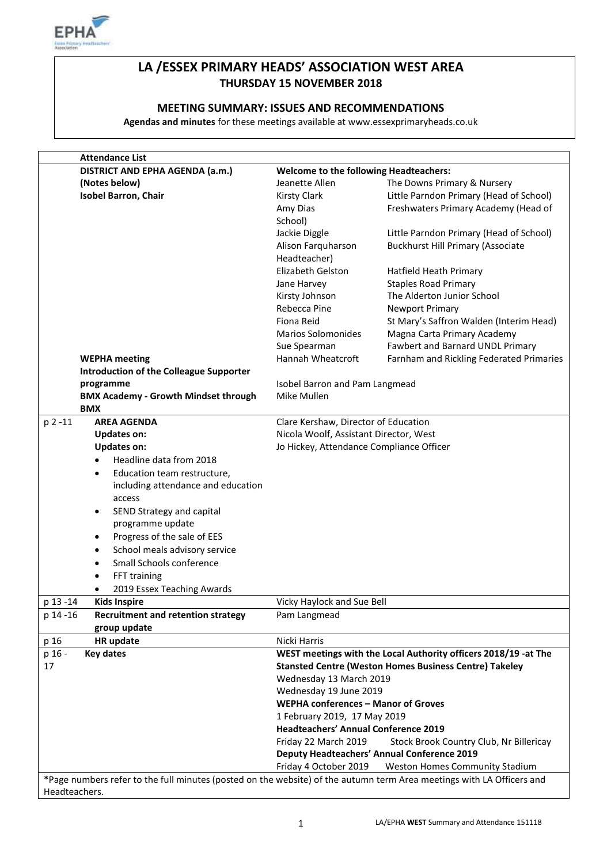

# **LA /ESSEX PRIMARY HEADS' ASSOCIATION WEST AREA THURSDAY 15 NOVEMBER 2018**

### **MEETING SUMMARY: ISSUES AND RECOMMENDATIONS**

**Agendas and minutes** for these meetings available at www.essexprimaryheads.co.uk

| DISTRICT AND EPHA AGENDA (a.m.)                                                                                       |                                               |                                                                 |  |
|-----------------------------------------------------------------------------------------------------------------------|-----------------------------------------------|-----------------------------------------------------------------|--|
|                                                                                                                       | <b>Welcome to the following Headteachers:</b> |                                                                 |  |
| (Notes below)                                                                                                         | Jeanette Allen                                | The Downs Primary & Nursery                                     |  |
| <b>Isobel Barron, Chair</b>                                                                                           | <b>Kirsty Clark</b>                           | Little Parndon Primary (Head of School)                         |  |
|                                                                                                                       | Amy Dias                                      | Freshwaters Primary Academy (Head of                            |  |
|                                                                                                                       | School)                                       |                                                                 |  |
|                                                                                                                       | Jackie Diggle                                 | Little Parndon Primary (Head of School)                         |  |
|                                                                                                                       | Alison Farquharson                            | <b>Buckhurst Hill Primary (Associate</b>                        |  |
|                                                                                                                       | Headteacher)                                  |                                                                 |  |
|                                                                                                                       | Elizabeth Gelston                             | Hatfield Heath Primary                                          |  |
|                                                                                                                       | Jane Harvey                                   | <b>Staples Road Primary</b>                                     |  |
|                                                                                                                       | Kirsty Johnson                                | The Alderton Junior School                                      |  |
|                                                                                                                       | Rebecca Pine                                  | <b>Newport Primary</b>                                          |  |
|                                                                                                                       | Fiona Reid                                    | St Mary's Saffron Walden (Interim Head)                         |  |
|                                                                                                                       | <b>Marios Solomonides</b>                     | Magna Carta Primary Academy                                     |  |
|                                                                                                                       | Sue Spearman                                  | Fawbert and Barnard UNDL Primary                                |  |
| <b>WEPHA</b> meeting                                                                                                  | Hannah Wheatcroft                             | Farnham and Rickling Federated Primaries                        |  |
| <b>Introduction of the Colleague Supporter</b>                                                                        |                                               |                                                                 |  |
| programme                                                                                                             | Isobel Barron and Pam Langmead                |                                                                 |  |
| <b>BMX Academy - Growth Mindset through</b>                                                                           | Mike Mullen                                   |                                                                 |  |
| <b>BMX</b>                                                                                                            |                                               |                                                                 |  |
| p 2 -11<br><b>AREA AGENDA</b>                                                                                         | Clare Kershaw, Director of Education          |                                                                 |  |
| <b>Updates on:</b>                                                                                                    | Nicola Woolf, Assistant Director, West        |                                                                 |  |
| <b>Updates on:</b>                                                                                                    | Jo Hickey, Attendance Compliance Officer      |                                                                 |  |
| Headline data from 2018                                                                                               |                                               |                                                                 |  |
| Education team restructure,<br>$\bullet$                                                                              |                                               |                                                                 |  |
| including attendance and education                                                                                    |                                               |                                                                 |  |
| access                                                                                                                |                                               |                                                                 |  |
| SEND Strategy and capital<br>$\bullet$                                                                                |                                               |                                                                 |  |
| programme update                                                                                                      |                                               |                                                                 |  |
| Progress of the sale of EES<br>$\bullet$                                                                              |                                               |                                                                 |  |
| School meals advisory service<br>$\bullet$                                                                            |                                               |                                                                 |  |
| Small Schools conference<br>٠                                                                                         |                                               |                                                                 |  |
| FFT training<br>$\bullet$                                                                                             |                                               |                                                                 |  |
| 2019 Essex Teaching Awards<br>٠                                                                                       |                                               |                                                                 |  |
| p 13 -14<br><b>Kids Inspire</b>                                                                                       | Vicky Haylock and Sue Bell                    |                                                                 |  |
| p 14 -16<br><b>Recruitment and retention strategy</b>                                                                 | Pam Langmead                                  |                                                                 |  |
| group update                                                                                                          |                                               |                                                                 |  |
| p 16<br>HR update                                                                                                     | Nicki Harris                                  |                                                                 |  |
| p 16 -<br><b>Key dates</b>                                                                                            |                                               | WEST meetings with the Local Authority officers 2018/19 -at The |  |
| 17                                                                                                                    |                                               | <b>Stansted Centre (Weston Homes Business Centre) Takeley</b>   |  |
|                                                                                                                       | Wednesday 13 March 2019                       |                                                                 |  |
|                                                                                                                       | Wednesday 19 June 2019                        |                                                                 |  |
|                                                                                                                       | <b>WEPHA conferences - Manor of Groves</b>    |                                                                 |  |
|                                                                                                                       | 1 February 2019, 17 May 2019                  |                                                                 |  |
|                                                                                                                       | <b>Headteachers' Annual Conference 2019</b>   |                                                                 |  |
|                                                                                                                       | Friday 22 March 2019                          | Stock Brook Country Club, Nr Billericay                         |  |
|                                                                                                                       |                                               | <b>Deputy Headteachers' Annual Conference 2019</b>              |  |
|                                                                                                                       |                                               |                                                                 |  |
|                                                                                                                       |                                               |                                                                 |  |
| *Page numbers refer to the full minutes (posted on the website) of the autumn term Area meetings with LA Officers and | Friday 4 October 2019                         | Weston Homes Community Stadium                                  |  |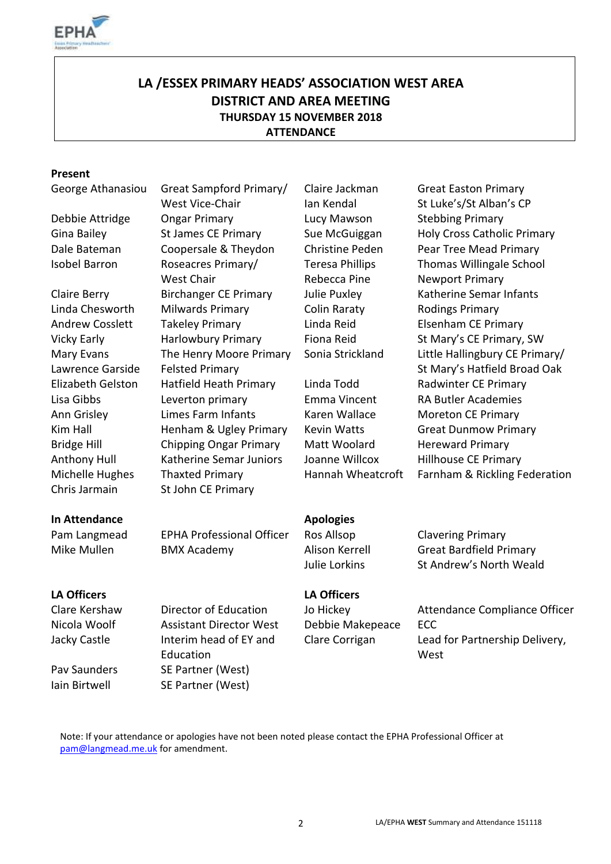

# **LA /ESSEX PRIMARY HEADS' ASSOCIATION WEST AREA DISTRICT AND AREA MEETING THURSDAY 15 NOVEMBER 2018 ATTENDANCE**

#### **Present**

George Athanasiou Great Sampford Primary/

- Isobel Barron Roseacres Primary/
- Mary Evans Lawrence Garside Chris Jarmain St John CE Primary

West Vice-Chair Debbie Attridge Ongar Primary Lucy Mawson Stebbing Primary Dale Bateman Coopersale & Theydon Christine Peden Pear Tree Mead Primary West Chair Claire Berry Birchanger CE Primary Julie Puxley Katherine Semar Infants Linda Chesworth Milwards Primary Colin Raraty Rodings Primary Andrew Cosslett Takeley Primary **Linda Reid** Elsenham CE Primary Vicky Early **Harlowbury Primary** Fiona Reid St Mary's CE Primary, SW The Henry Moore Primary Felsted Primary Elizabeth Gelston Hatfield Heath Primary Linda Todd Radwinter CE Primary Lisa Gibbs Leverton primary Emma Vincent RA Butler Academies Ann Grisley **Limes Farm Infants** Karen Wallace Moreton CE Primary Kim Hall **Henham & Ugley Primary** Kevin Watts Great Dunmow Primary Bridge Hill Chipping Ongar Primary Matt Woolard Hereward Primary Anthony Hull Katherine Semar Juniors Joanne Willcox Hillhouse CE Primary

Claire Jackman Ian Kendal Teresa Phillips Rebecca Pine

Great Easton Primary St Luke's/St Alban's CP Gina Bailey **St James CE Primary** Sue McGuiggan Holy Cross Catholic Primary Thomas Willingale School Newport Primary Sonia Strickland Little Hallingbury CE Primary/ St Mary's Hatfield Broad Oak Michelle Hughes Thaxted Primary Hannah Wheatcroft Farnham & Rickling Federation

# **In Attendance Apologies**

Pam Langmead EPHA Professional Officer Ros Allsop Clavering Primary Mike Mullen BMX Academy Alison Kerrell Great Bardfield Primary

## **LA Officers LA Officers**

Nicola Woolf Assistant Director West Debbie Makepeace ECC Jacky Castle Interim head of EY and Education Pav Saunders SE Partner (West) Iain Birtwell SE Partner (West)

Julie Lorkins St Andrew's North Weald

Clare Kershaw Director of Education Jo Hickey Attendance Compliance Officer Clare Corrigan Lead for Partnership Delivery, **West** 

Note: If your attendance or apologies have not been noted please contact the EPHA Professional Officer at [pam@langmead.me.uk](mailto:pam@langmead.me.uk) for amendment.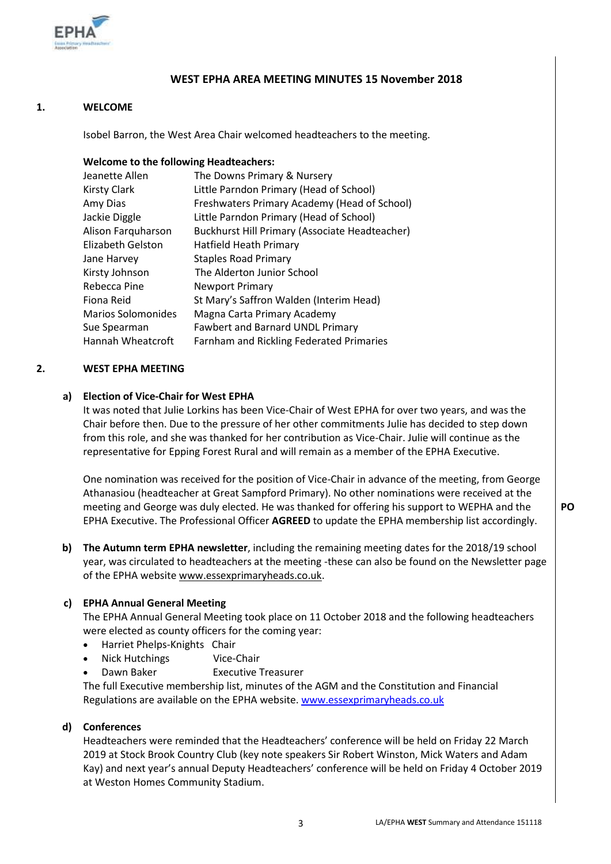

#### **WEST EPHA AREA MEETING MINUTES 15 November 2018**

#### **1. WELCOME**

Isobel Barron, the West Area Chair welcomed headteachers to the meeting.

#### **Welcome to the following Headteachers:**

| Jeanette Allen            | The Downs Primary & Nursery                     |
|---------------------------|-------------------------------------------------|
| <b>Kirsty Clark</b>       | Little Parndon Primary (Head of School)         |
| Amy Dias                  | Freshwaters Primary Academy (Head of School)    |
| Jackie Diggle             | Little Parndon Primary (Head of School)         |
| Alison Farquharson        | Buckhurst Hill Primary (Associate Headteacher)  |
| Elizabeth Gelston         | Hatfield Heath Primary                          |
| Jane Harvey               | <b>Staples Road Primary</b>                     |
| Kirsty Johnson            | The Alderton Junior School                      |
| Rebecca Pine              | <b>Newport Primary</b>                          |
| Fiona Reid                | St Mary's Saffron Walden (Interim Head)         |
| <b>Marios Solomonides</b> | Magna Carta Primary Academy                     |
| Sue Spearman              | <b>Fawbert and Barnard UNDL Primary</b>         |
| Hannah Wheatcroft         | <b>Farnham and Rickling Federated Primaries</b> |

#### **2. WEST EPHA MEETING**

#### **a) Election of Vice-Chair for West EPHA**

It was noted that Julie Lorkins has been Vice-Chair of West EPHA for over two years, and was the Chair before then. Due to the pressure of her other commitments Julie has decided to step down from this role, and she was thanked for her contribution as Vice-Chair. Julie will continue as the representative for Epping Forest Rural and will remain as a member of the EPHA Executive.

One nomination was received for the position of Vice-Chair in advance of the meeting, from George Athanasiou (headteacher at Great Sampford Primary). No other nominations were received at the meeting and George was duly elected. He was thanked for offering his support to WEPHA and the EPHA Executive. The Professional Officer **AGREED** to update the EPHA membership list accordingly.

**b) The Autumn term EPHA newsletter**, including the remaining meeting dates for the 2018/19 school year, was circulated to headteachers at the meeting -these can also be found on the Newsletter page of the EPHA websit[e www.essexprimaryheads.co.uk.](http://www.essexprimaryheads.co.uk/)

#### **c) EPHA Annual General Meeting**

The EPHA Annual General Meeting took place on 11 October 2018 and the following headteachers were elected as county officers for the coming year:

- Harriet Phelps-Knights Chair
- Nick Hutchings Vice-Chair
- Dawn Baker **Executive Treasurer**

The full Executive membership list, minutes of the AGM and the Constitution and Financial Regulations are available on the EPHA website[. www.essexprimaryheads.co.uk](http://www.essexprimaryheads.co.uk/)

#### **d) Conferences**

Headteachers were reminded that the Headteachers' conference will be held on Friday 22 March 2019 at Stock Brook Country Club (key note speakers Sir Robert Winston, Mick Waters and Adam Kay) and next year's annual Deputy Headteachers' conference will be held on Friday 4 October 2019 at Weston Homes Community Stadium.

**PO**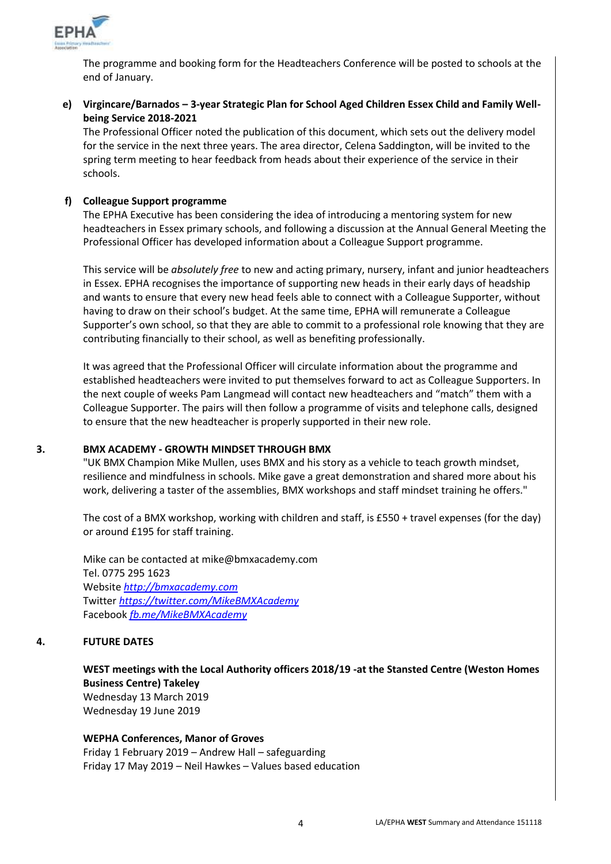

The programme and booking form for the Headteachers Conference will be posted to schools at the end of January.

## **e) Virgincare/Barnados – 3-year Strategic Plan for School Aged Children Essex Child and Family Wellbeing Service 2018-2021**

The Professional Officer noted the publication of this document, which sets out the delivery model for the service in the next three years. The area director, Celena Saddington, will be invited to the spring term meeting to hear feedback from heads about their experience of the service in their schools.

#### **f) Colleague Support programme**

The EPHA Executive has been considering the idea of introducing a mentoring system for new headteachers in Essex primary schools, and following a discussion at the Annual General Meeting the Professional Officer has developed information about a Colleague Support programme.

This service will be *absolutely free* to new and acting primary, nursery, infant and junior headteachers in Essex. EPHA recognises the importance of supporting new heads in their early days of headship and wants to ensure that every new head feels able to connect with a Colleague Supporter, without having to draw on their school's budget. At the same time, EPHA will remunerate a Colleague Supporter's own school, so that they are able to commit to a professional role knowing that they are contributing financially to their school, as well as benefiting professionally.

It was agreed that the Professional Officer will circulate information about the programme and established headteachers were invited to put themselves forward to act as Colleague Supporters. In the next couple of weeks Pam Langmead will contact new headteachers and "match" them with a Colleague Supporter. The pairs will then follow a programme of visits and telephone calls, designed to ensure that the new headteacher is properly supported in their new role.

#### **3. BMX ACADEMY - GROWTH MINDSET THROUGH BMX**

"UK BMX Champion Mike Mullen, uses BMX and his story as a vehicle to teach growth mindset, resilience and mindfulness in schools. Mike gave a great demonstration and shared more about his work, delivering a taster of the assemblies, BMX workshops and staff mindset training he offers."

The cost of a BMX workshop, working with children and staff, is £550 + travel expenses (for the day) or around £195 for staff training.

Mike can be contacted at mike@bmxacademy.com Tel. 0775 295 1623 Website *[http://bmxacademy.com](http://bmxacademy.com/)* Twitter *<https://twitter.com/MikeBMXAcademy>* Facebook *[fb.me/MikeBMXAcademy](http://fb.me/MikeBMXAcademy)*

## **4. FUTURE DATES**

**WEST meetings with the Local Authority officers 2018/19 -at the Stansted Centre (Weston Homes Business Centre) Takeley** Wednesday 13 March 2019 Wednesday 19 June 2019

**WEPHA Conferences, Manor of Groves** Friday 1 February 2019 – Andrew Hall – safeguarding Friday 17 May 2019 – Neil Hawkes – Values based education